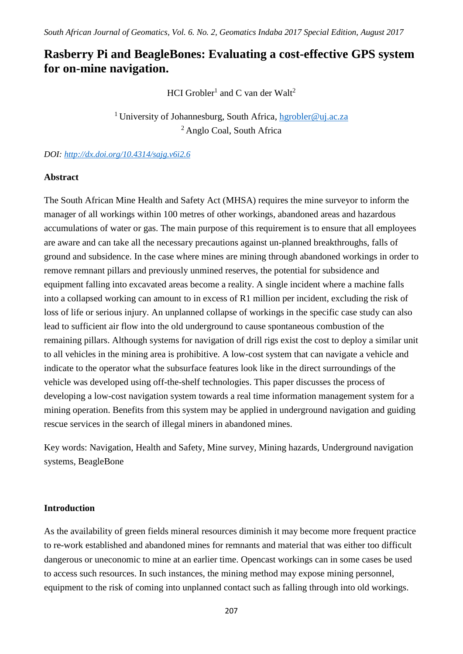# **Rasberry Pi and BeagleBones: Evaluating a cost-effective GPS system for on-mine navigation.**

HCI Grobler<sup>1</sup> and C van der Walt<sup>2</sup>

<sup>1</sup> University of Johannesburg, South Africa, [hgrobler@uj.ac.za](mailto:hgrobler@uj.ac.za) <sup>2</sup> Anglo Coal, South Africa

*DOI:<http://dx.doi.org/10.4314/sajg.v6i2.6>*

#### **Abstract**

The South African Mine Health and Safety Act (MHSA) requires the mine surveyor to inform the manager of all workings within 100 metres of other workings, abandoned areas and hazardous accumulations of water or gas. The main purpose of this requirement is to ensure that all employees are aware and can take all the necessary precautions against un-planned breakthroughs, falls of ground and subsidence. In the case where mines are mining through abandoned workings in order to remove remnant pillars and previously unmined reserves, the potential for subsidence and equipment falling into excavated areas become a reality. A single incident where a machine falls into a collapsed working can amount to in excess of R1 million per incident, excluding the risk of loss of life or serious injury. An unplanned collapse of workings in the specific case study can also lead to sufficient air flow into the old underground to cause spontaneous combustion of the remaining pillars. Although systems for navigation of drill rigs exist the cost to deploy a similar unit to all vehicles in the mining area is prohibitive. A low-cost system that can navigate a vehicle and indicate to the operator what the subsurface features look like in the direct surroundings of the vehicle was developed using off-the-shelf technologies. This paper discusses the process of developing a low-cost navigation system towards a real time information management system for a mining operation. Benefits from this system may be applied in underground navigation and guiding rescue services in the search of illegal miners in abandoned mines.

Key words: Navigation, Health and Safety, Mine survey, Mining hazards, Underground navigation systems, BeagleBone

#### **Introduction**

As the availability of green fields mineral resources diminish it may become more frequent practice to re-work established and abandoned mines for remnants and material that was either too difficult dangerous or uneconomic to mine at an earlier time. Opencast workings can in some cases be used to access such resources. In such instances, the mining method may expose mining personnel, equipment to the risk of coming into unplanned contact such as falling through into old workings.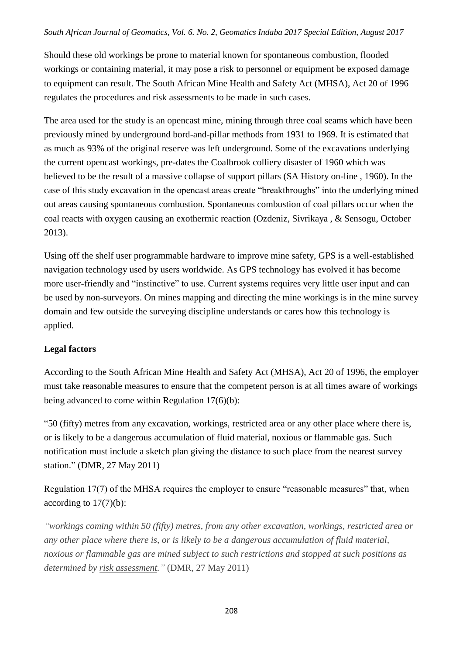Should these old workings be prone to material known for spontaneous combustion, flooded workings or containing material, it may pose a risk to personnel or equipment be exposed damage to equipment can result. The South African Mine Health and Safety Act (MHSA), Act 20 of 1996 regulates the procedures and risk assessments to be made in such cases.

The area used for the study is an opencast mine, mining through three coal seams which have been previously mined by underground bord-and-pillar methods from 1931 to 1969. It is estimated that as much as 93% of the original reserve was left underground. Some of the excavations underlying the current opencast workings, pre-dates the Coalbrook colliery disaster of 1960 which was believed to be the result of a massive collapse of support pillars (SA History on-line , 1960). In the case of this study excavation in the opencast areas create "breakthroughs" into the underlying mined out areas causing spontaneous combustion. Spontaneous combustion of coal pillars occur when the coal reacts with oxygen causing an exothermic reaction (Ozdeniz, Sivrikaya , & Sensogu, October 2013).

Using off the shelf user programmable hardware to improve mine safety, GPS is a well-established navigation technology used by users worldwide. As GPS technology has evolved it has become more user-friendly and "instinctive" to use. Current systems requires very little user input and can be used by non-surveyors. On mines mapping and directing the mine workings is in the mine survey domain and few outside the surveying discipline understands or cares how this technology is applied.

## **Legal factors**

According to the South African Mine Health and Safety Act (MHSA), Act 20 of 1996, the employer must take reasonable measures to ensure that the competent person is at all times aware of workings being advanced to come within Regulation 17(6)(b):

"50 (fifty) metres from any excavation, workings, restricted area or any other place where there is, or is likely to be a dangerous accumulation of fluid material, noxious or flammable gas. Such notification must include a sketch plan giving the distance to such place from the nearest survey station." (DMR, 27 May 2011)

Regulation 17(7) of the MHSA requires the employer to ensure "reasonable measures" that, when according to 17(7)(b):

*"workings coming within 50 (fifty) metres, from any other excavation, workings, restricted area or any other place where there is, or is likely to be a dangerous accumulation of fluid material, noxious or flammable gas are mined subject to such restrictions and stopped at such positions as determined by risk assessment."* (DMR, 27 May 2011)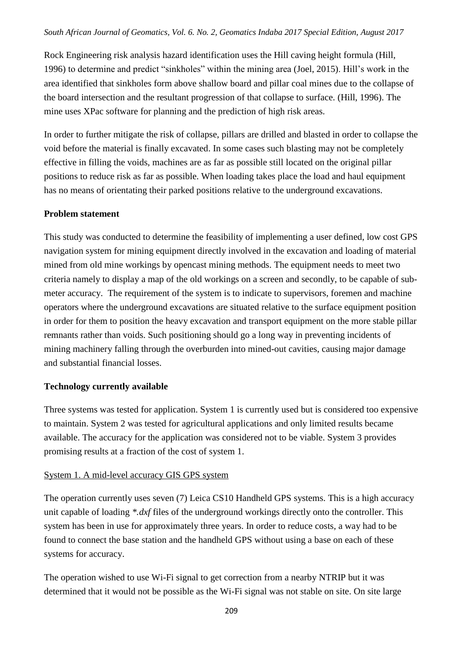Rock Engineering risk analysis hazard identification uses the Hill caving height formula (Hill, 1996) to determine and predict "sinkholes" within the mining area (Joel, 2015). Hill's work in the area identified that sinkholes form above shallow board and pillar coal mines due to the collapse of the board intersection and the resultant progression of that collapse to surface. (Hill, 1996). The mine uses XPac software for planning and the prediction of high risk areas.

In order to further mitigate the risk of collapse, pillars are drilled and blasted in order to collapse the void before the material is finally excavated. In some cases such blasting may not be completely effective in filling the voids, machines are as far as possible still located on the original pillar positions to reduce risk as far as possible. When loading takes place the load and haul equipment has no means of orientating their parked positions relative to the underground excavations.

#### **Problem statement**

This study was conducted to determine the feasibility of implementing a user defined, low cost GPS navigation system for mining equipment directly involved in the excavation and loading of material mined from old mine workings by opencast mining methods. The equipment needs to meet two criteria namely to display a map of the old workings on a screen and secondly, to be capable of submeter accuracy. The requirement of the system is to indicate to supervisors, foremen and machine operators where the underground excavations are situated relative to the surface equipment position in order for them to position the heavy excavation and transport equipment on the more stable pillar remnants rather than voids. Such positioning should go a long way in preventing incidents of mining machinery falling through the overburden into mined-out cavities, causing major damage and substantial financial losses.

#### **Technology currently available**

Three systems was tested for application. System 1 is currently used but is considered too expensive to maintain. System 2 was tested for agricultural applications and only limited results became available. The accuracy for the application was considered not to be viable. System 3 provides promising results at a fraction of the cost of system 1.

#### System 1. A mid-level accuracy GIS GPS system

The operation currently uses seven (7) Leica CS10 Handheld GPS systems. This is a high accuracy unit capable of loading *\*.dxf* files of the underground workings directly onto the controller. This system has been in use for approximately three years. In order to reduce costs, a way had to be found to connect the base station and the handheld GPS without using a base on each of these systems for accuracy.

The operation wished to use Wi-Fi signal to get correction from a nearby NTRIP but it was determined that it would not be possible as the Wi-Fi signal was not stable on site. On site large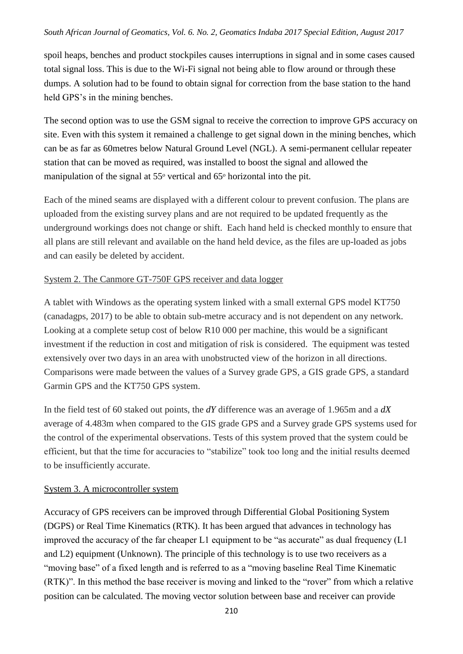spoil heaps, benches and product stockpiles causes interruptions in signal and in some cases caused total signal loss. This is due to the Wi-Fi signal not being able to flow around or through these dumps. A solution had to be found to obtain signal for correction from the base station to the hand held GPS's in the mining benches.

The second option was to use the GSM signal to receive the correction to improve GPS accuracy on site. Even with this system it remained a challenge to get signal down in the mining benches, which can be as far as 60metres below Natural Ground Level (NGL). A semi-permanent cellular repeater station that can be moved as required, was installed to boost the signal and allowed the manipulation of the signal at  $55^{\circ}$  vertical and  $65^{\circ}$  horizontal into the pit.

Each of the mined seams are displayed with a different colour to prevent confusion. The plans are uploaded from the existing survey plans and are not required to be updated frequently as the underground workings does not change or shift. Each hand held is checked monthly to ensure that all plans are still relevant and available on the hand held device, as the files are up-loaded as jobs and can easily be deleted by accident.

## System 2. The Canmore GT-750F GPS receiver and data logger

A tablet with Windows as the operating system linked with a small external GPS model KT750 (canadagps, 2017) to be able to obtain sub-metre accuracy and is not dependent on any network. Looking at a complete setup cost of below R10 000 per machine, this would be a significant investment if the reduction in cost and mitigation of risk is considered. The equipment was tested extensively over two days in an area with unobstructed view of the horizon in all directions. Comparisons were made between the values of a Survey grade GPS, a GIS grade GPS, a standard Garmin GPS and the KT750 GPS system.

In the field test of 60 staked out points, the *dY* difference was an average of 1.965m and a *dX* average of 4.483m when compared to the GIS grade GPS and a Survey grade GPS systems used for the control of the experimental observations. Tests of this system proved that the system could be efficient, but that the time for accuracies to "stabilize" took too long and the initial results deemed to be insufficiently accurate.

## System 3. A microcontroller system

Accuracy of GPS receivers can be improved through Differential Global Positioning System (DGPS) or Real Time Kinematics (RTK). It has been argued that advances in technology has improved the accuracy of the far cheaper L1 equipment to be "as accurate" as dual frequency (L1 and L2) equipment (Unknown). The principle of this technology is to use two receivers as a "moving base" of a fixed length and is referred to as a "moving baseline Real Time Kinematic (RTK)". In this method the base receiver is moving and linked to the "rover" from which a relative position can be calculated. The moving vector solution between base and receiver can provide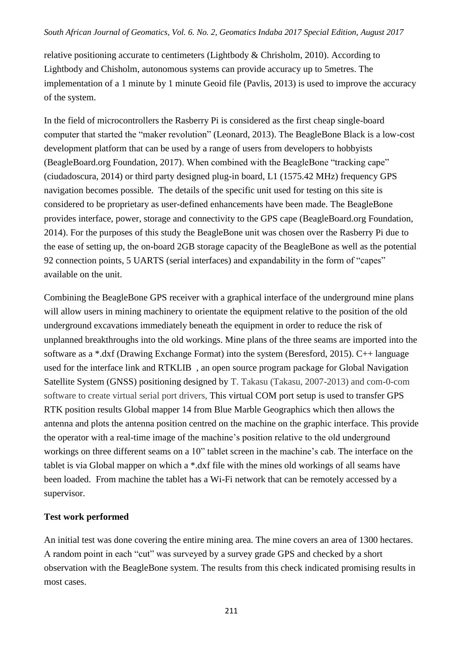relative positioning accurate to centimeters (Lightbody & Chrisholm, 2010). According to Lightbody and Chisholm, autonomous systems can provide accuracy up to 5metres. The implementation of a 1 minute by 1 minute Geoid file (Pavlis, 2013) is used to improve the accuracy of the system.

In the field of microcontrollers the Rasberry Pi is considered as the first cheap single-board computer that started the "maker revolution" (Leonard, 2013). The BeagleBone Black is a low-cost development platform that can be used by a range of users from developers to hobbyists (BeagleBoard.org Foundation, 2017). When combined with the BeagleBone "tracking cape" (ciudadoscura, 2014) or third party designed plug-in board, L1 (1575.42 MHz) frequency GPS navigation becomes possible. The details of the specific unit used for testing on this site is considered to be proprietary as user-defined enhancements have been made. The BeagleBone provides interface, power, storage and connectivity to the GPS cape (BeagleBoard.org Foundation, 2014). For the purposes of this study the BeagleBone unit was chosen over the Rasberry Pi due to the ease of setting up, the on-board 2GB storage capacity of the BeagleBone as well as the potential 92 connection points, 5 UARTS (serial interfaces) and expandability in the form of "capes" available on the unit.

Combining the BeagleBone GPS receiver with a graphical interface of the underground mine plans will allow users in mining machinery to orientate the equipment relative to the position of the old underground excavations immediately beneath the equipment in order to reduce the risk of unplanned breakthroughs into the old workings. Mine plans of the three seams are imported into the software as a \*.dxf (Drawing Exchange Format) into the system (Beresford, 2015). C++ language used for the interface link and RTKLIB , an open source program package for Global Navigation Satellite System (GNSS) positioning designed by T. Takasu (Takasu, 2007-2013) and com-0-com software to create virtual serial port drivers, This virtual COM port setup is used to transfer GPS RTK position results Global mapper 14 from Blue Marble Geographics which then allows the antenna and plots the antenna position centred on the machine on the graphic interface. This provide the operator with a real-time image of the machine's position relative to the old underground workings on three different seams on a 10" tablet screen in the machine's cab. The interface on the tablet is via Global mapper on which a \*.dxf file with the mines old workings of all seams have been loaded. From machine the tablet has a Wi-Fi network that can be remotely accessed by a supervisor.

## **Test work performed**

An initial test was done covering the entire mining area. The mine covers an area of 1300 hectares. A random point in each "cut" was surveyed by a survey grade GPS and checked by a short observation with the BeagleBone system. The results from this check indicated promising results in most cases.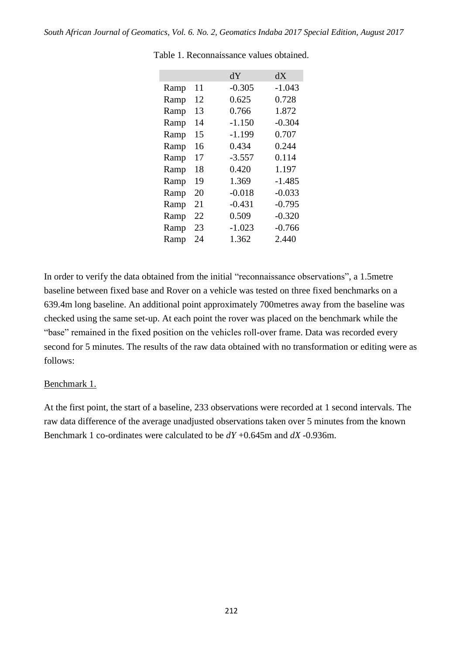|      |    | ďУ       | dX       |
|------|----|----------|----------|
| Ramp | 11 | $-0.305$ | $-1.043$ |
| Ramp | 12 | 0.625    | 0.728    |
| Ramp | 13 | 0.766    | 1.872    |
| Ramp | 14 | $-1.150$ | $-0.304$ |
| Ramp | 15 | $-1.199$ | 0.707    |
| Ramp | 16 | 0.434    | 0.244    |
| Ramp | 17 | $-3.557$ | 0.114    |
| Ramp | 18 | 0.420    | 1.197    |
| Ramp | 19 | 1.369    | $-1.485$ |
| Ramp | 20 | $-0.018$ | $-0.033$ |
| Ramp | 21 | -0.431   | $-0.795$ |
| Ramp | 22 | 0.509    | $-0.320$ |
| Ramp | 23 | $-1.023$ | -0.766   |
| Ramp | 24 | 1.362    | 2.440    |

Table 1. Reconnaissance values obtained.

In order to verify the data obtained from the initial "reconnaissance observations", a 1.5metre baseline between fixed base and Rover on a vehicle was tested on three fixed benchmarks on a 639.4m long baseline. An additional point approximately 700metres away from the baseline was checked using the same set-up. At each point the rover was placed on the benchmark while the "base" remained in the fixed position on the vehicles roll-over frame. Data was recorded every second for 5 minutes. The results of the raw data obtained with no transformation or editing were as follows:

#### Benchmark 1.

At the first point, the start of a baseline, 233 observations were recorded at 1 second intervals. The raw data difference of the average unadjusted observations taken over 5 minutes from the known Benchmark 1 co-ordinates were calculated to be *dY* +0.645m and *dX* -0.936m.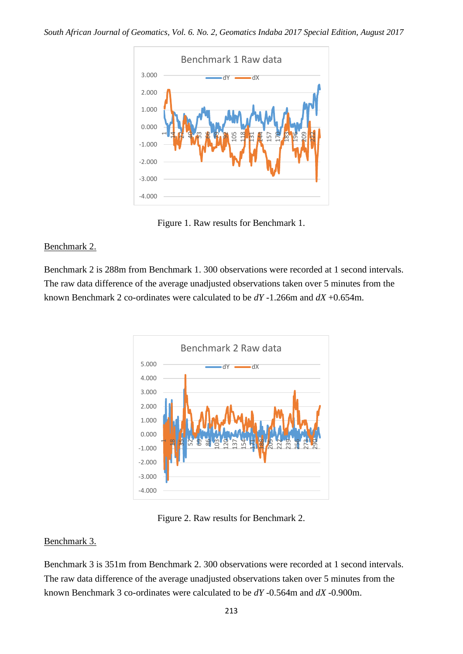

Figure 1. Raw results for Benchmark 1.

## Benchmark 2.

Benchmark 2 is 288m from Benchmark 1. 300 observations were recorded at 1 second intervals. The raw data difference of the average unadjusted observations taken over 5 minutes from the known Benchmark 2 co-ordinates were calculated to be *dY* -1.266m and *dX* +0.654m.



Figure 2. Raw results for Benchmark 2.

## Benchmark 3.

Benchmark 3 is 351m from Benchmark 2. 300 observations were recorded at 1 second intervals. The raw data difference of the average unadjusted observations taken over 5 minutes from the known Benchmark 3 co-ordinates were calculated to be *dY* -0.564m and *dX* -0.900m.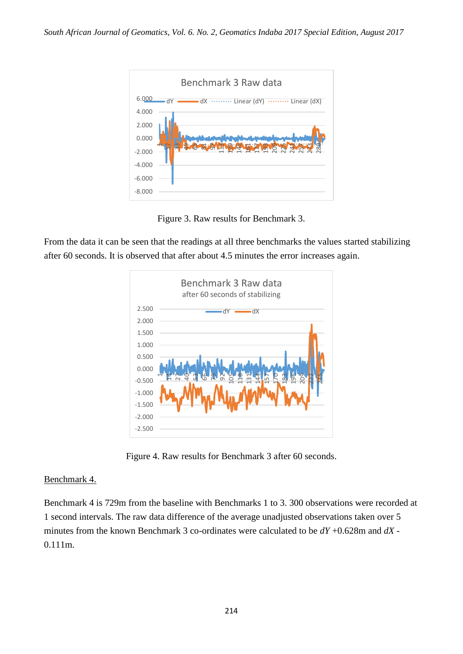

Figure 3. Raw results for Benchmark 3.

From the data it can be seen that the readings at all three benchmarks the values started stabilizing after 60 seconds. It is observed that after about 4.5 minutes the error increases again.



Figure 4. Raw results for Benchmark 3 after 60 seconds.

## Benchmark 4.

Benchmark 4 is 729m from the baseline with Benchmarks 1 to 3. 300 observations were recorded at 1 second intervals. The raw data difference of the average unadjusted observations taken over 5 minutes from the known Benchmark 3 co-ordinates were calculated to be *dY* +0.628m and *dX* - 0.111m.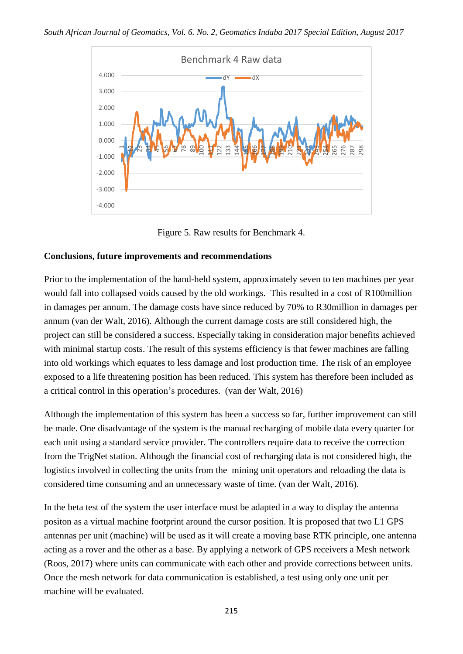

Figure 5. Raw results for Benchmark 4.

## **Conclusions, future improvements and recommendations**

Prior to the implementation of the hand-held system, approximately seven to ten machines per year would fall into collapsed voids caused by the old workings. This resulted in a cost of R100million in damages per annum. The damage costs have since reduced by 70% to R30million in damages per annum (van der Walt, 2016). Although the current damage costs are still considered high, the project can still be considered a success. Especially taking in consideration major benefits achieved with minimal startup costs. The result of this systems efficiency is that fewer machines are falling into old workings which equates to less damage and lost production time. The risk of an employee exposed to a life threatening position has been reduced. This system has therefore been included as a critical control in this operation's procedures. (van der Walt, 2016)

Although the implementation of this system has been a success so far, further improvement can still be made. One disadvantage of the system is the manual recharging of mobile data every quarter for each unit using a standard service provider. The controllers require data to receive the correction from the TrigNet station. Although the financial cost of recharging data is not considered high, the logistics involved in collecting the units from the mining unit operators and reloading the data is considered time consuming and an unnecessary waste of time. (van der Walt, 2016).

In the beta test of the system the user interface must be adapted in a way to display the antenna positon as a virtual machine footprint around the cursor position. It is proposed that two L1 GPS antennas per unit (machine) will be used as it will create a moving base RTK principle, one antenna acting as a rover and the other as a base. By applying a network of GPS receivers a Mesh network (Roos, 2017) where units can communicate with each other and provide corrections between units. Once the mesh network for data communication is established, a test using only one unit per machine will be evaluated.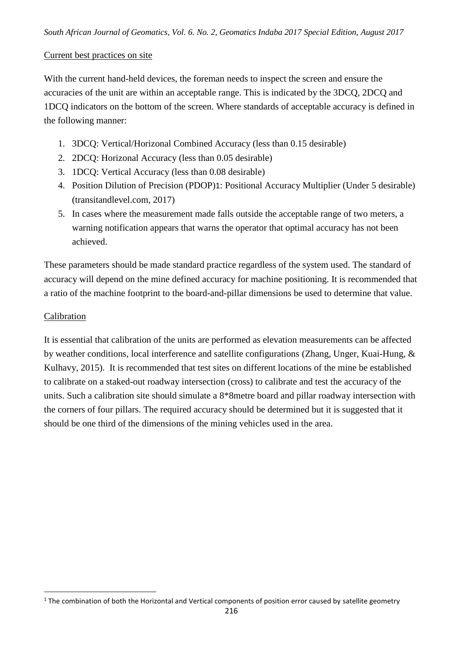#### Current best practices on site

With the current hand-held devices, the foreman needs to inspect the screen and ensure the accuracies of the unit are within an acceptable range. This is indicated by the 3DCQ, 2DCQ and 1DCQ indicators on the bottom of the screen. Where standards of acceptable accuracy is defined in the following manner:

- 1. 3DCQ: Vertical/Horizonal Combined Accuracy (less than 0.15 desirable)
- 2. 2DCQ: Horizonal Accuracy (less than 0.05 desirable)
- 3. 1DCQ: Vertical Accuracy (less than 0.08 desirable)
- 4. Position Dilution of Precision (PDOP)1: Positional Accuracy Multiplier (Under 5 desirable) (transitandlevel.com, 2017)
- 5. In cases where the measurement made falls outside the acceptable range of two meters, a warning notification appears that warns the operator that optimal accuracy has not been achieved.

These parameters should be made standard practice regardless of the system used. The standard of accuracy will depend on the mine defined accuracy for machine positioning. It is recommended that a ratio of the machine footprint to the board-and-pillar dimensions be used to determine that value.

### Calibration

**.** 

It is essential that calibration of the units are performed as elevation measurements can be affected by weather conditions, local interference and satellite configurations (Zhang, Unger, Kuai-Hung, & Kulhavy, 2015). It is recommended that test sites on different locations of the mine be established to calibrate on a staked-out roadway intersection (cross) to calibrate and test the accuracy of the units. Such a calibration site should simulate a 8\*8metre board and pillar roadway intersection with the corners of four pillars. The required accuracy should be determined but it is suggested that it should be one third of the dimensions of the mining vehicles used in the area.

 $1$  The combination of both the Horizontal and Vertical components of position error caused by satellite geometry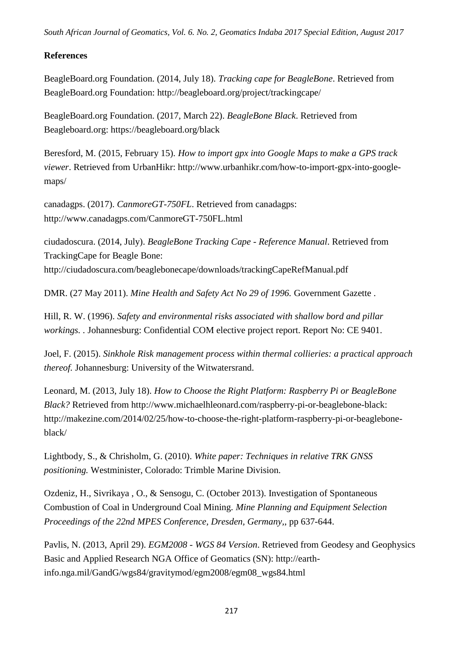## **References**

BeagleBoard.org Foundation. (2014, July 18). *Tracking cape for BeagleBone*. Retrieved from BeagleBoard.org Foundation: http://beagleboard.org/project/trackingcape/

BeagleBoard.org Foundation. (2017, March 22). *BeagleBone Black*. Retrieved from Beagleboard.org: https://beagleboard.org/black

Beresford, M. (2015, February 15). *How to import gpx into Google Maps to make a GPS track viewer*. Retrieved from UrbanHikr: http://www.urbanhikr.com/how-to-import-gpx-into-googlemaps/

canadagps. (2017). *CanmoreGT-750FL*. Retrieved from canadagps: http://www.canadagps.com/CanmoreGT-750FL.html

ciudadoscura. (2014, July). *BeagleBone Tracking Cape - Reference Manual*. Retrieved from TrackingCape for Beagle Bone: http://ciudadoscura.com/beaglebonecape/downloads/trackingCapeRefManual.pdf

DMR. (27 May 2011). *Mine Health and Safety Act No 29 of 1996.* Government Gazette .

Hill, R. W. (1996). *Safety and environmental risks associated with shallow bord and pillar workings. .* Johannesburg: Confidential COM elective project report. Report No: CE 9401.

Joel, F. (2015). *Sinkhole Risk management process within thermal collieries: a practical approach thereof.* Johannesburg: University of the Witwatersrand.

Leonard, M. (2013, July 18). *How to Choose the Right Platform: Raspberry Pi or BeagleBone Black?* Retrieved from http://www.michaelhleonard.com/raspberry-pi-or-beaglebone-black: http://makezine.com/2014/02/25/how-to-choose-the-right-platform-raspberry-pi-or-beagleboneblack/

Lightbody, S., & Chrisholm, G. (2010). *White paper: Techniques in relative TRK GNSS positioning.* Westminister, Colorado: Trimble Marine Division.

Ozdeniz, H., Sivrikaya , O., & Sensogu, C. (October 2013). Investigation of Spontaneous Combustion of Coal in Underground Coal Mining. *Mine Planning and Equipment Selection Proceedings of the 22nd MPES Conference, Dresden, Germany,*, pp 637-644.

Pavlis, N. (2013, April 29). *EGM2008 - WGS 84 Version*. Retrieved from Geodesy and Geophysics Basic and Applied Research NGA Office of Geomatics (SN): http://earthinfo.nga.mil/GandG/wgs84/gravitymod/egm2008/egm08\_wgs84.html